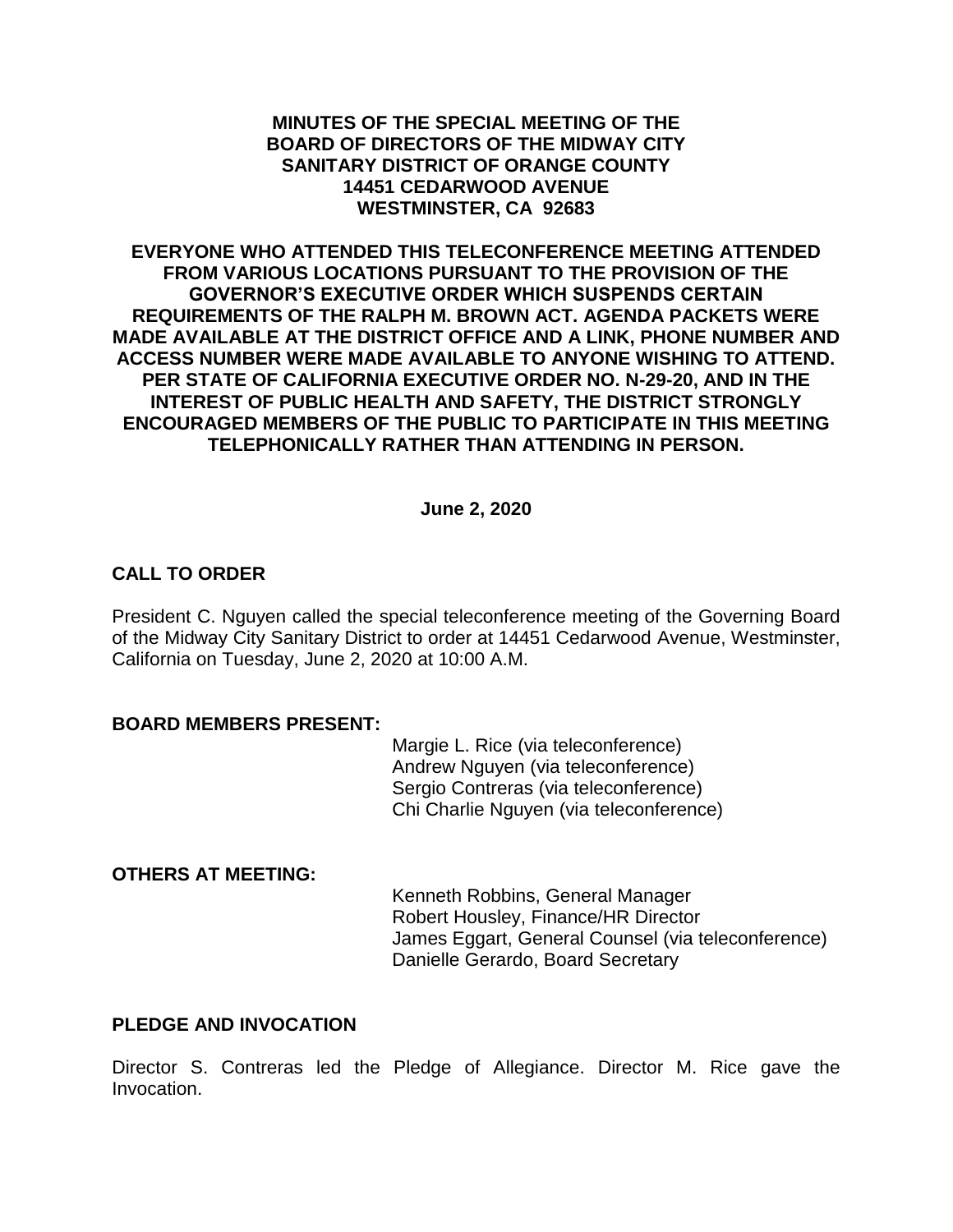#### **MINUTES OF THE SPECIAL MEETING OF THE BOARD OF DIRECTORS OF THE MIDWAY CITY SANITARY DISTRICT OF ORANGE COUNTY 14451 CEDARWOOD AVENUE WESTMINSTER, CA 92683**

**EVERYONE WHO ATTENDED THIS TELECONFERENCE MEETING ATTENDED FROM VARIOUS LOCATIONS PURSUANT TO THE PROVISION OF THE GOVERNOR'S EXECUTIVE ORDER WHICH SUSPENDS CERTAIN REQUIREMENTS OF THE RALPH M. BROWN ACT. AGENDA PACKETS WERE MADE AVAILABLE AT THE DISTRICT OFFICE AND A LINK, PHONE NUMBER AND ACCESS NUMBER WERE MADE AVAILABLE TO ANYONE WISHING TO ATTEND. PER STATE OF CALIFORNIA EXECUTIVE ORDER NO. N-29-20, AND IN THE INTEREST OF PUBLIC HEALTH AND SAFETY, THE DISTRICT STRONGLY ENCOURAGED MEMBERS OF THE PUBLIC TO PARTICIPATE IN THIS MEETING TELEPHONICALLY RATHER THAN ATTENDING IN PERSON.**

#### **June 2, 2020**

## **CALL TO ORDER**

President C. Nguyen called the special teleconference meeting of the Governing Board of the Midway City Sanitary District to order at 14451 Cedarwood Avenue, Westminster, California on Tuesday, June 2, 2020 at 10:00 A.M.

#### **BOARD MEMBERS PRESENT:**

Margie L. Rice (via teleconference) Andrew Nguyen (via teleconference) Sergio Contreras (via teleconference) Chi Charlie Nguyen (via teleconference)

## **OTHERS AT MEETING:**

Kenneth Robbins, General Manager Robert Housley, Finance/HR Director James Eggart, General Counsel (via teleconference) Danielle Gerardo, Board Secretary

## **PLEDGE AND INVOCATION**

Director S. Contreras led the Pledge of Allegiance. Director M. Rice gave the Invocation.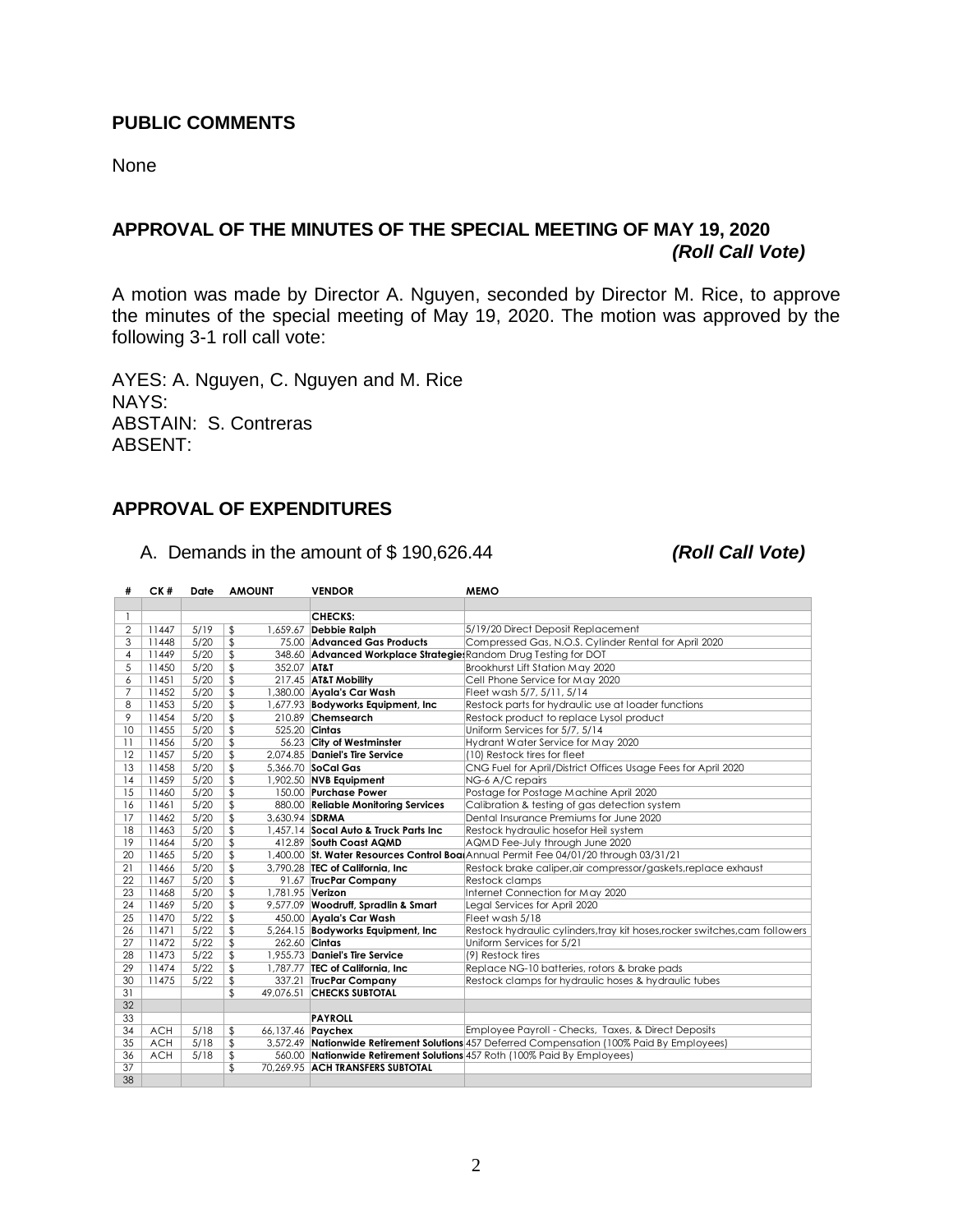#### **PUBLIC COMMENTS**

None

# **APPROVAL OF THE MINUTES OF THE SPECIAL MEETING OF MAY 19, 2020** *(Roll Call Vote)*

A motion was made by Director A. Nguyen, seconded by Director M. Rice, to approve the minutes of the special meeting of May 19, 2020. The motion was approved by the following 3-1 roll call vote:

AYES: A. Nguyen, C. Nguyen and M. Rice NAYS: ABSTAIN: S. Contreras ABSENT:

#### **APPROVAL OF EXPENDITURES**

A. Demands in the amount of \$ 190,626.44 *(Roll Call Vote)*

| #               | CK#        | Date | <b>AMOUNT</b>          | <b>VENDOR</b>                                                   | <b>MEMO</b>                                                                                 |
|-----------------|------------|------|------------------------|-----------------------------------------------------------------|---------------------------------------------------------------------------------------------|
|                 |            |      |                        |                                                                 |                                                                                             |
| -1              |            |      |                        | <b>CHECKS:</b>                                                  |                                                                                             |
| $\overline{2}$  | 11447      | 5/19 | \$                     | 1,659.67 Debbie Ralph                                           | 5/19/20 Direct Deposit Replacement                                                          |
| 3               | 11448      | 5/20 | $\mathfrak{L}$         | 75.00 Advanced Gas Products                                     | Compressed Gas, N.O.S. Cylinder Rental for April 2020                                       |
| 4               | 11449      | 5/20 | $\mathfrak{L}$         | 348.60 Advanced Workplace Strategie Random Drug Testing for DOT |                                                                                             |
| 5               | 11450      | 5/20 | 352.07 AT&T<br>\$      |                                                                 | Brookhurst Lift Station May 2020                                                            |
| 6               | 11451      | 5/20 | \$                     | 217.45 AT&T Mobility                                            | Cell Phone Service for May 2020                                                             |
| $\overline{7}$  | 11452      | 5/20 | \$                     | 1,380.00 Ayala's Car Wash                                       | Fleet wash 5/7, 5/11, 5/14                                                                  |
| 8               | 11453      | 5/20 | \$                     | 1,677.93 Bodyworks Equipment, Inc.                              | Restock parts for hydraulic use at loader functions                                         |
| 9               | 11454      | 5/20 | \$                     | 210.89 Chemsearch                                               | Restock product to replace Lysol product                                                    |
| 10              | 11455      | 5/20 | \$                     | 525.20 Cintas                                                   | Uniform Services for 5/7, 5/14                                                              |
| $\overline{11}$ | 11456      | 5/20 | \$                     | 56.23 City of Westminster                                       | Hydrant Water Service for May 2020                                                          |
| 12              | 11457      | 5/20 | $\sqrt{2}$             | 2.074.85 Daniel's Tire Service                                  | (10) Restock tires for fleet                                                                |
| 13              | 11458      | 5/20 | \$                     | 5,366.70 SoCal Gas                                              | CNG Fuel for April/District Offices Usage Fees for April 2020                               |
| 14              | 11459      | 5/20 | \$                     | 1,902.50 NVB Equipment                                          | NG-6 A/C repairs                                                                            |
| 15              | 11460      | 5/20 | \$                     | 150.00 Purchase Power                                           | Postage for Postage Machine April 2020                                                      |
| 16              | 11461      | 5/20 | \$                     | 880.00 Reliable Monitoring Services                             | Calibration & testing of gas detection system                                               |
| 17              | 11462      | 5/20 | 3.630.94 SDRMA<br>\$   |                                                                 | Dental Insurance Premiums for June 2020                                                     |
| 18              | 11463      | 5/20 | $\sqrt{2}$             | 1.457.14 Socal Auto & Truck Parts Inc                           | Restock hydraulic hosefor Heil system                                                       |
| 19              | 11464      | 5/20 | \$                     | 412.89 South Coast AQMD                                         | AQMD Fee-July through June 2020                                                             |
| 20              | 11465      | 5/20 | \$                     |                                                                 | 1,400.00 St. Water Resources Control BoatAnnual Permit Fee 04/01/20 through 03/31/21        |
| 21              | 11466      | 5/20 | \$                     | 3,790.28 TEC of California, Inc.                                | Restock brake caliper, air compressor/gaskets, replace exhaust                              |
| 22              | 11467      | 5/20 | \$                     | 91.67 TrucPar Company                                           | Restock clamps                                                                              |
| 23              | 11468      | 5/20 | \$<br>1,781.95 Verizon |                                                                 | Internet Connection for May 2020                                                            |
| 24              | 11469      | 5/20 | \$                     | 9,577.09 Woodruff, Spradlin & Smart                             | Legal Services for April 2020                                                               |
| 25              | 11470      | 5/22 | \$                     | 450.00 Ayala's Car Wash                                         | Fleet wash 5/18                                                                             |
| 26              | 11471      | 5/22 | \$                     | 5,264.15 Bodyworks Equipment, Inc.                              | Restock hydraulic cylinders, tray kit hoses, rocker switches, cam followers                 |
| 27              | 11472      | 5/22 | $\sqrt{2}$             | 262.60 Cintas                                                   | Uniform Services for 5/21                                                                   |
| 28              | 11473      | 5/22 | \$                     | 1,955.73 Daniel's Tire Service                                  | (9) Restock tires                                                                           |
| 29              | 11474      | 5/22 | \$                     | 1,787.77 TEC of California, Inc.                                | Replace NG-10 batteries, rotors & brake pads                                                |
| 30              | 11475      | 5/22 | \$                     | 337.21 TrucPar Company                                          | Restock clamps for hydraulic hoses & hydraulic tubes                                        |
| 31              |            |      | $\mathbf{S}$           | 49.076.51 CHECKS SUBTOTAL                                       |                                                                                             |
| 32              |            |      |                        |                                                                 |                                                                                             |
| 33              |            |      |                        | <b>PAYROLL</b>                                                  |                                                                                             |
| 34              | <b>ACH</b> | 5/18 | \$                     | 66,137.46 Paychex                                               | Employee Payroll - Checks, Taxes, & Direct Deposits                                         |
| 35              | <b>ACH</b> | 5/18 | \$                     |                                                                 | 3,572.49 Nationwide Retirement Solutions 457 Deferred Compensation (100% Paid By Employees) |
| 36              | <b>ACH</b> | 5/18 | \$                     |                                                                 | 560.00 Nationwide Retirement Solutions 457 Roth (100% Paid By Employees)                    |
| $\overline{37}$ |            |      | \$                     | 70.269.95 ACH TRANSFERS SUBTOTAL                                |                                                                                             |
| 38              |            |      |                        |                                                                 |                                                                                             |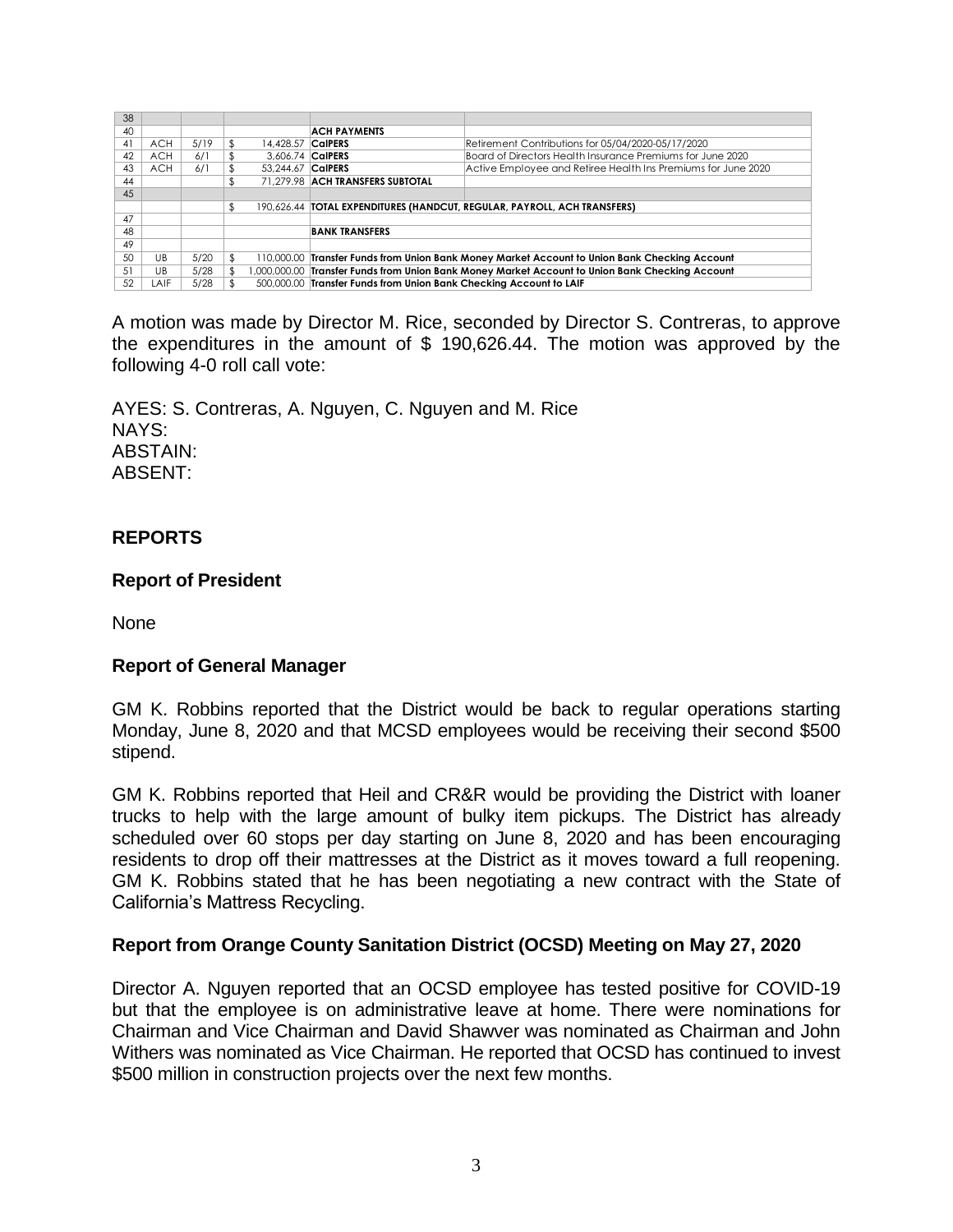| Retirement Contributions for 05/04/2020-05/17/2020                                              |  |
|-------------------------------------------------------------------------------------------------|--|
| Board of Directors Health Insurance Premiums for June 2020                                      |  |
| Active Employee and Retiree Health Ins Premiums for June 2020                                   |  |
|                                                                                                 |  |
|                                                                                                 |  |
| 190,626.44   TOTAL EXPENDITURES (HANDCUT, REGULAR, PAYROLL, ACH TRANSFERS)                      |  |
|                                                                                                 |  |
| <b>BANK TRANSFERS</b>                                                                           |  |
|                                                                                                 |  |
| 110,000.00 Transfer Funds from Union Bank Money Market Account to Union Bank Checking Account   |  |
| 1,000,000.00 Transfer Funds from Union Bank Money Market Account to Union Bank Checking Account |  |
| 500,000.00 Transfer Funds from Union Bank Checking Account to LAIF                              |  |
|                                                                                                 |  |

A motion was made by Director M. Rice, seconded by Director S. Contreras, to approve the expenditures in the amount of \$ 190,626.44. The motion was approved by the following 4-0 roll call vote:

AYES: S. Contreras, A. Nguyen, C. Nguyen and M. Rice NAYS: ABSTAIN: ABSENT:

# **REPORTS**

## **Report of President**

None

## **Report of General Manager**

GM K. Robbins reported that the District would be back to regular operations starting Monday, June 8, 2020 and that MCSD employees would be receiving their second \$500 stipend.

GM K. Robbins reported that Heil and CR&R would be providing the District with loaner trucks to help with the large amount of bulky item pickups. The District has already scheduled over 60 stops per day starting on June 8, 2020 and has been encouraging residents to drop off their mattresses at the District as it moves toward a full reopening. GM K. Robbins stated that he has been negotiating a new contract with the State of California's Mattress Recycling.

## **Report from Orange County Sanitation District (OCSD) Meeting on May 27, 2020**

Director A. Nguyen reported that an OCSD employee has tested positive for COVID-19 but that the employee is on administrative leave at home. There were nominations for Chairman and Vice Chairman and David Shawver was nominated as Chairman and John Withers was nominated as Vice Chairman. He reported that OCSD has continued to invest \$500 million in construction projects over the next few months.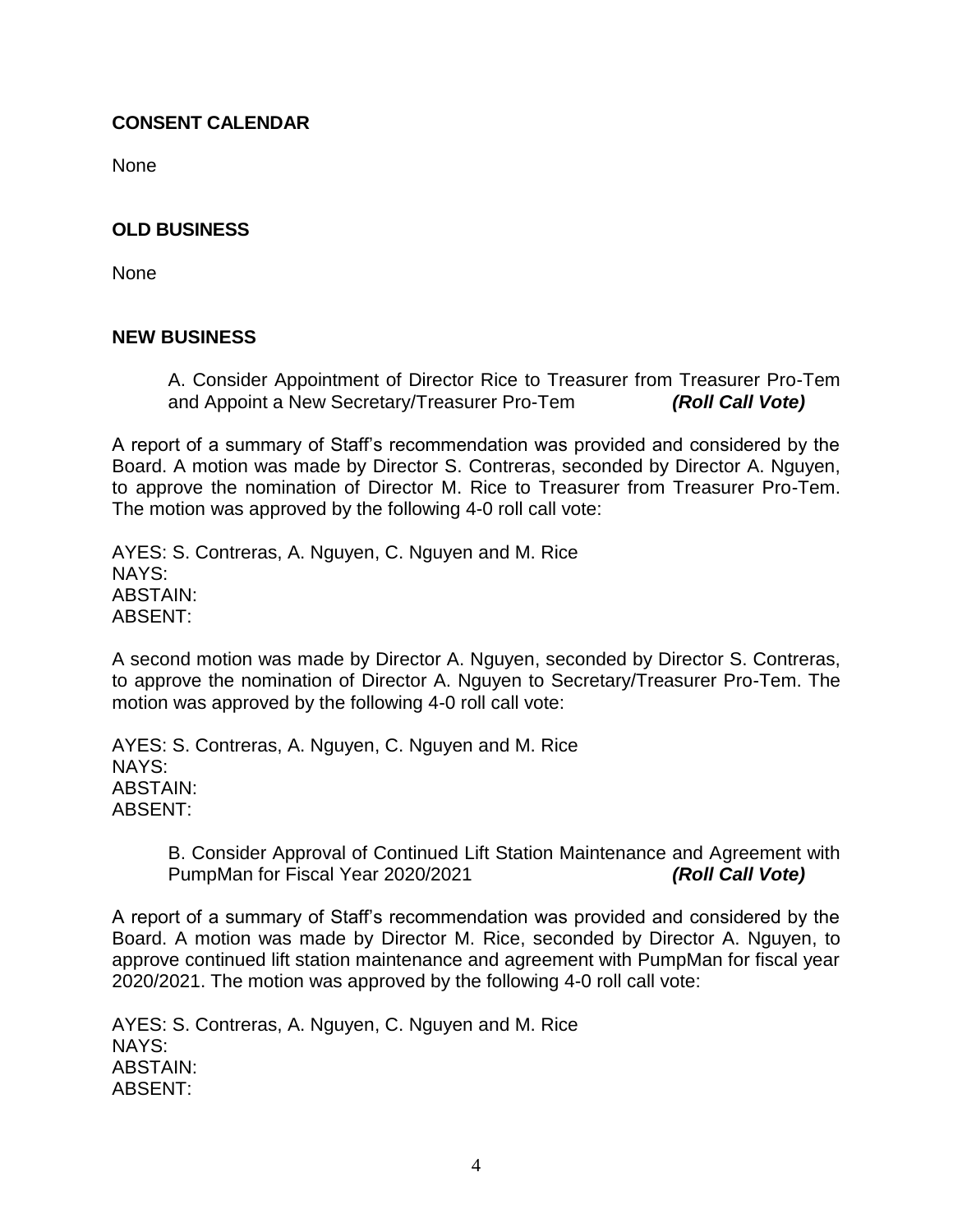## **CONSENT CALENDAR**

**None** 

## **OLD BUSINESS**

None

## **NEW BUSINESS**

A. Consider Appointment of Director Rice to Treasurer from Treasurer Pro-Tem and Appoint a New Secretary/Treasurer Pro-Tem *(Roll Call Vote)*

A report of a summary of Staff's recommendation was provided and considered by the Board. A motion was made by Director S. Contreras, seconded by Director A. Nguyen, to approve the nomination of Director M. Rice to Treasurer from Treasurer Pro-Tem. The motion was approved by the following 4-0 roll call vote:

AYES: S. Contreras, A. Nguyen, C. Nguyen and M. Rice NAYS: ABSTAIN: ABSENT:

A second motion was made by Director A. Nguyen, seconded by Director S. Contreras, to approve the nomination of Director A. Nguyen to Secretary/Treasurer Pro-Tem. The motion was approved by the following 4-0 roll call vote:

AYES: S. Contreras, A. Nguyen, C. Nguyen and M. Rice NAYS: ABSTAIN: ABSENT:

> B. Consider Approval of Continued Lift Station Maintenance and Agreement with PumpMan for Fiscal Year 2020/2021 *(Roll Call Vote)*

A report of a summary of Staff's recommendation was provided and considered by the Board. A motion was made by Director M. Rice, seconded by Director A. Nguyen, to approve continued lift station maintenance and agreement with PumpMan for fiscal year 2020/2021. The motion was approved by the following 4-0 roll call vote:

AYES: S. Contreras, A. Nguyen, C. Nguyen and M. Rice NAYS: ABSTAIN: ABSENT: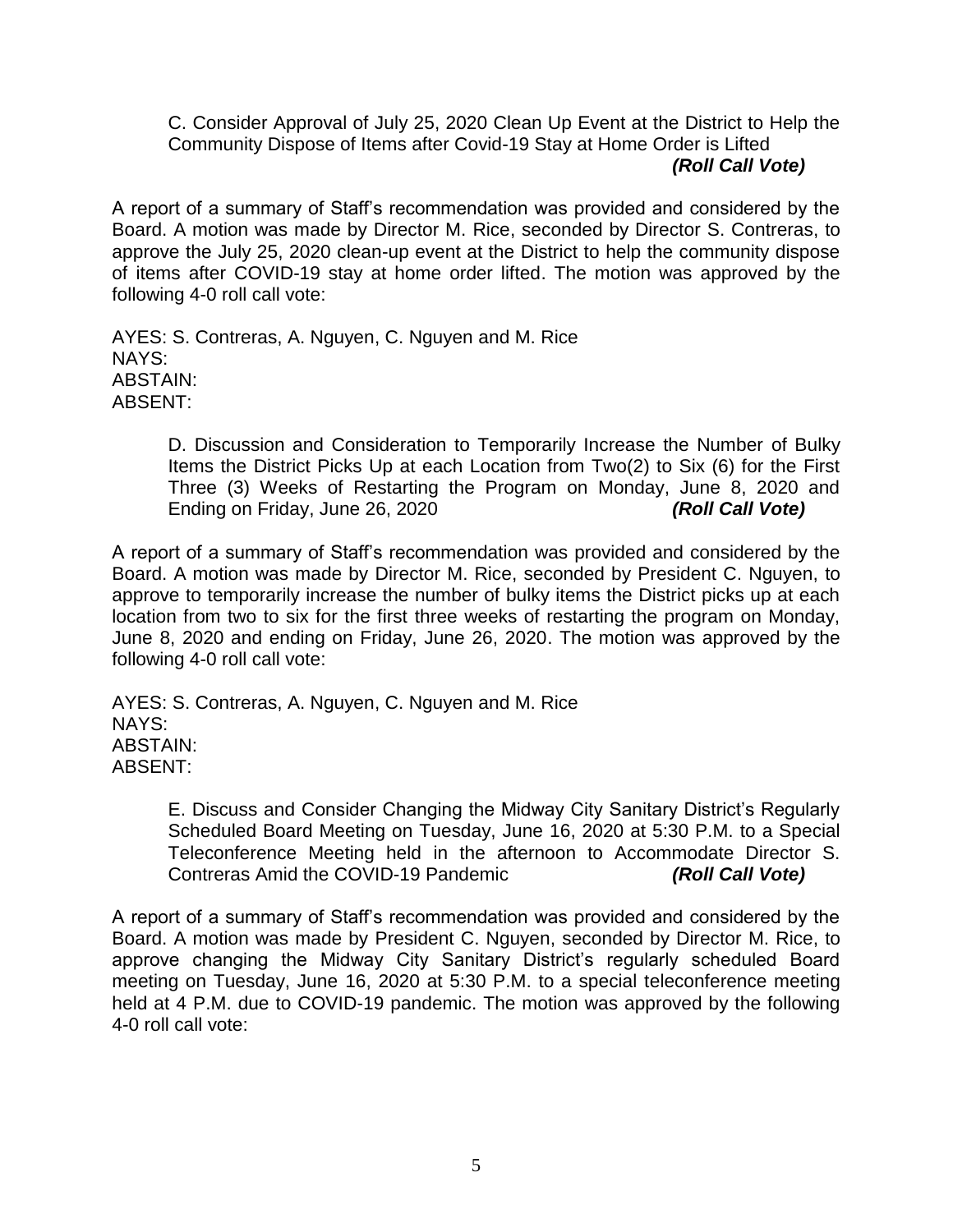C. Consider Approval of July 25, 2020 Clean Up Event at the District to Help the Community Dispose of Items after Covid-19 Stay at Home Order is Lifted *(Roll Call Vote)*

A report of a summary of Staff's recommendation was provided and considered by the Board. A motion was made by Director M. Rice, seconded by Director S. Contreras, to approve the July 25, 2020 clean-up event at the District to help the community dispose of items after COVID-19 stay at home order lifted. The motion was approved by the following 4-0 roll call vote:

AYES: S. Contreras, A. Nguyen, C. Nguyen and M. Rice NAYS: ABSTAIN: ABSENT:

> D. Discussion and Consideration to Temporarily Increase the Number of Bulky Items the District Picks Up at each Location from Two(2) to Six (6) for the First Three (3) Weeks of Restarting the Program on Monday, June 8, 2020 and Ending on Friday, June 26, 2020 *(Roll Call Vote)*

A report of a summary of Staff's recommendation was provided and considered by the Board. A motion was made by Director M. Rice, seconded by President C. Nguyen, to approve to temporarily increase the number of bulky items the District picks up at each location from two to six for the first three weeks of restarting the program on Monday, June 8, 2020 and ending on Friday, June 26, 2020. The motion was approved by the following 4-0 roll call vote:

AYES: S. Contreras, A. Nguyen, C. Nguyen and M. Rice NAYS: ABSTAIN: ABSENT:

> E. Discuss and Consider Changing the Midway City Sanitary District's Regularly Scheduled Board Meeting on Tuesday, June 16, 2020 at 5:30 P.M. to a Special Teleconference Meeting held in the afternoon to Accommodate Director S. Contreras Amid the COVID-19 Pandemic *(Roll Call Vote)*

A report of a summary of Staff's recommendation was provided and considered by the Board. A motion was made by President C. Nguyen, seconded by Director M. Rice, to approve changing the Midway City Sanitary District's regularly scheduled Board meeting on Tuesday, June 16, 2020 at 5:30 P.M. to a special teleconference meeting held at 4 P.M. due to COVID-19 pandemic. The motion was approved by the following 4-0 roll call vote: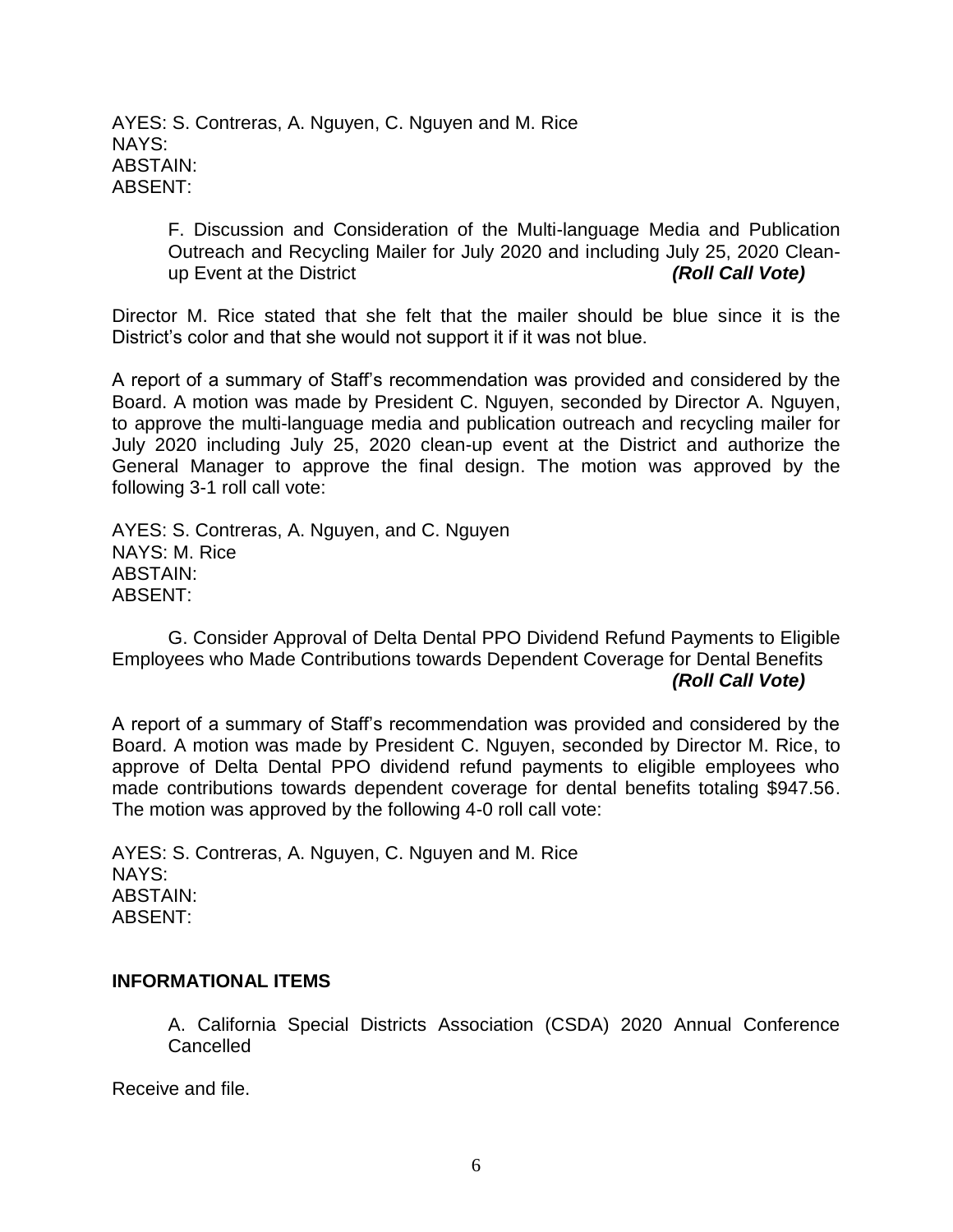AYES: S. Contreras, A. Nguyen, C. Nguyen and M. Rice NAYS: ABSTAIN: ABSENT:

> F. Discussion and Consideration of the Multi-language Media and Publication Outreach and Recycling Mailer for July 2020 and including July 25, 2020 Cleanup Event at the District *(Roll Call Vote)*

Director M. Rice stated that she felt that the mailer should be blue since it is the District's color and that she would not support it if it was not blue.

A report of a summary of Staff's recommendation was provided and considered by the Board. A motion was made by President C. Nguyen, seconded by Director A. Nguyen, to approve the multi-language media and publication outreach and recycling mailer for July 2020 including July 25, 2020 clean-up event at the District and authorize the General Manager to approve the final design. The motion was approved by the following 3-1 roll call vote:

AYES: S. Contreras, A. Nguyen, and C. Nguyen NAYS: M. Rice ABSTAIN: ABSENT:

G. Consider Approval of Delta Dental PPO Dividend Refund Payments to Eligible Employees who Made Contributions towards Dependent Coverage for Dental Benefits *(Roll Call Vote)*

A report of a summary of Staff's recommendation was provided and considered by the Board. A motion was made by President C. Nguyen, seconded by Director M. Rice, to approve of Delta Dental PPO dividend refund payments to eligible employees who made contributions towards dependent coverage for dental benefits totaling \$947.56. The motion was approved by the following 4-0 roll call vote:

AYES: S. Contreras, A. Nguyen, C. Nguyen and M. Rice NAYS: ABSTAIN: ABSENT:

## **INFORMATIONAL ITEMS**

A. California Special Districts Association (CSDA) 2020 Annual Conference Cancelled

Receive and file.